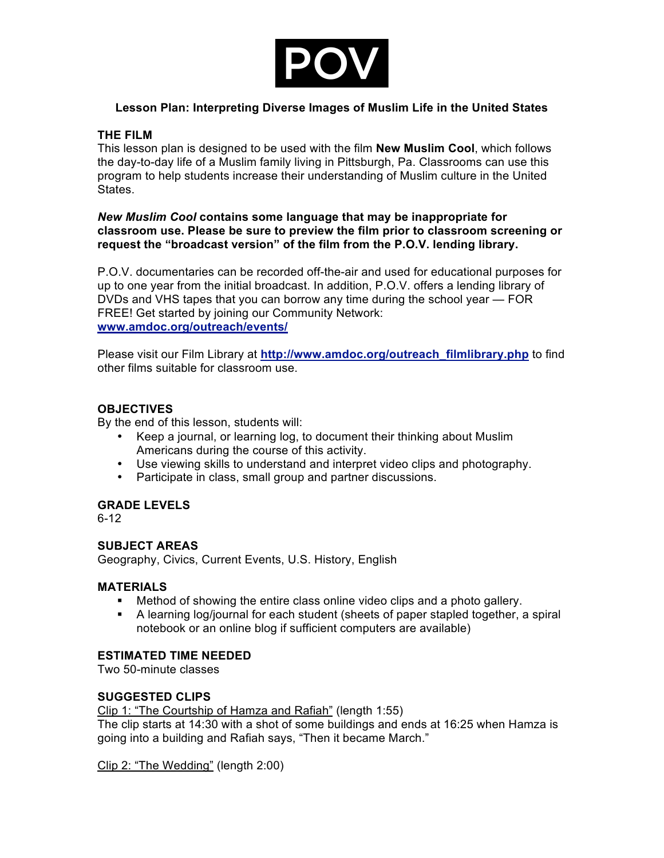

# **Lesson Plan: Interpreting Diverse Images of Muslim Life in the United States**

# **THE FILM**

This lesson plan is designed to be used with the film **New Muslim Cool**, which follows the day-to-day life of a Muslim family living in Pittsburgh, Pa. Classrooms can use this program to help students increase their understanding of Muslim culture in the United **States** 

### *New Muslim Cool* **contains some language that may be inappropriate for classroom use. Please be sure to preview the film prior to classroom screening or request the "broadcast version" of the film from the P.O.V. lending library.**

P.O.V. documentaries can be recorded off-the-air and used for educational purposes for up to one year from the initial broadcast. In addition, P.O.V. offers a lending library of DVDs and VHS tapes that you can borrow any time during the school year — FOR FREE! Get started by joining our Community Network: **www.amdoc.org/outreach/events/**

Please visit our Film Library at **http://www.amdoc.org/outreach\_filmlibrary.php** to find other films suitable for classroom use.

# **OBJECTIVES**

By the end of this lesson, students will:

- Keep a journal, or learning log, to document their thinking about Muslim Americans during the course of this activity.
- Use viewing skills to understand and interpret video clips and photography.
- Participate in class, small group and partner discussions.

# **GRADE LEVELS**

6-12

# **SUBJECT AREAS**

Geography, Civics, Current Events, U.S. History, English

### **MATERIALS**

- ! Method of showing the entire class online video clips and a photo gallery.
- ! A learning log/journal for each student (sheets of paper stapled together, a spiral notebook or an online blog if sufficient computers are available)

# **ESTIMATED TIME NEEDED**

Two 50-minute classes

### **SUGGESTED CLIPS**

Clip 1: "The Courtship of Hamza and Rafiah" (length 1:55)

The clip starts at 14:30 with a shot of some buildings and ends at 16:25 when Hamza is going into a building and Rafiah says, "Then it became March."

Clip 2: "The Wedding" (length 2:00)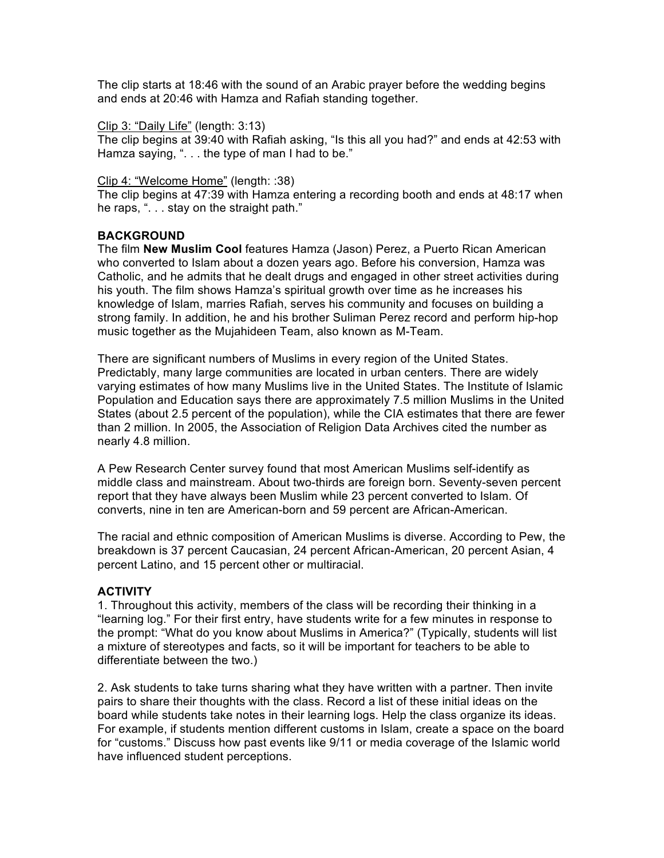The clip starts at 18:46 with the sound of an Arabic prayer before the wedding begins and ends at 20:46 with Hamza and Rafiah standing together.

#### Clip 3: "Daily Life" (length: 3:13)

The clip begins at 39:40 with Rafiah asking, "Is this all you had?" and ends at 42:53 with Hamza saying, ". . . the type of man I had to be."

#### Clip 4: "Welcome Home" (length: :38)

The clip begins at 47:39 with Hamza entering a recording booth and ends at 48:17 when he raps, ". . . stay on the straight path."

### **BACKGROUND**

The film **New Muslim Cool** features Hamza (Jason) Perez, a Puerto Rican American who converted to Islam about a dozen years ago. Before his conversion, Hamza was Catholic, and he admits that he dealt drugs and engaged in other street activities during his youth. The film shows Hamza's spiritual growth over time as he increases his knowledge of Islam, marries Rafiah, serves his community and focuses on building a strong family. In addition, he and his brother Suliman Perez record and perform hip-hop music together as the Mujahideen Team, also known as M-Team.

There are significant numbers of Muslims in every region of the United States. Predictably, many large communities are located in urban centers. There are widely varying estimates of how many Muslims live in the United States. The Institute of Islamic Population and Education says there are approximately 7.5 million Muslims in the United States (about 2.5 percent of the population), while the CIA estimates that there are fewer than 2 million. In 2005, the Association of Religion Data Archives cited the number as nearly 4.8 million.

A Pew Research Center survey found that most American Muslims self-identify as middle class and mainstream. About two-thirds are foreign born. Seventy-seven percent report that they have always been Muslim while 23 percent converted to Islam. Of converts, nine in ten are American-born and 59 percent are African-American.

The racial and ethnic composition of American Muslims is diverse. According to Pew, the breakdown is 37 percent Caucasian, 24 percent African-American, 20 percent Asian, 4 percent Latino, and 15 percent other or multiracial.

### **ACTIVITY**

1. Throughout this activity, members of the class will be recording their thinking in a "learning log." For their first entry, have students write for a few minutes in response to the prompt: "What do you know about Muslims in America?" (Typically, students will list a mixture of stereotypes and facts, so it will be important for teachers to be able to differentiate between the two.)

2. Ask students to take turns sharing what they have written with a partner. Then invite pairs to share their thoughts with the class. Record a list of these initial ideas on the board while students take notes in their learning logs. Help the class organize its ideas. For example, if students mention different customs in Islam, create a space on the board for "customs." Discuss how past events like 9/11 or media coverage of the Islamic world have influenced student perceptions.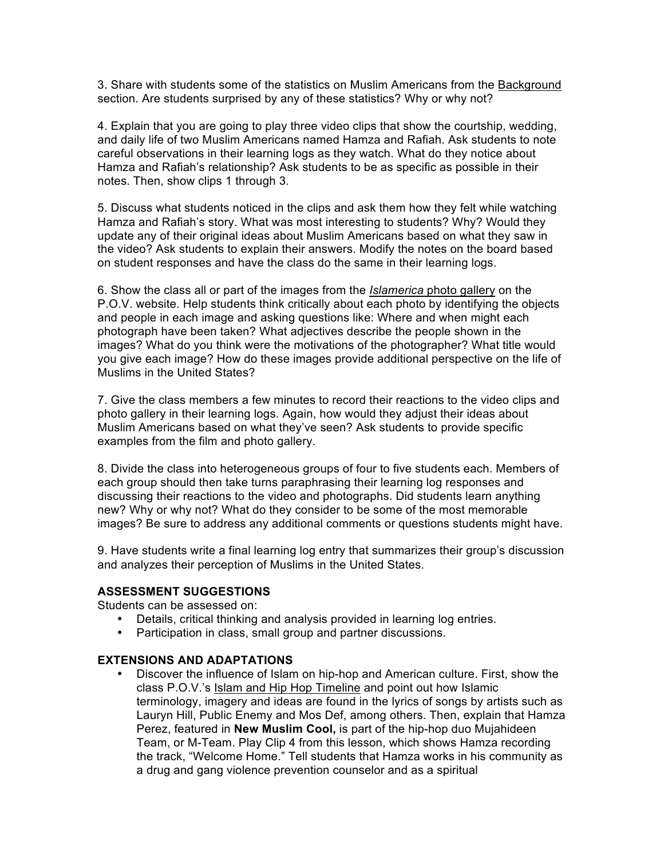3. Share with students some of the statistics on Muslim Americans from the Background section. Are students surprised by any of these statistics? Why or why not?

4. Explain that you are going to play three video clips that show the courtship, wedding, and daily life of two Muslim Americans named Hamza and Rafiah. Ask students to note careful observations in their learning logs as they watch. What do they notice about Hamza and Rafiah's relationship? Ask students to be as specific as possible in their notes. Then, show clips 1 through 3.

5. Discuss what students noticed in the clips and ask them how they felt while watching Hamza and Rafiah's story. What was most interesting to students? Why? Would they update any of their original ideas about Muslim Americans based on what they saw in the video? Ask students to explain their answers. Modify the notes on the board based on student responses and have the class do the same in their learning logs.

6. Show the class all or part of the images from the *Islamerica* photo gallery on the P.O.V. website. Help students think critically about each photo by identifying the objects and people in each image and asking questions like: Where and when might each photograph have been taken? What adjectives describe the people shown in the images? What do you think were the motivations of the photographer? What title would you give each image? How do these images provide additional perspective on the life of Muslims in the United States?

7. Give the class members a few minutes to record their reactions to the video clips and photo gallery in their learning logs. Again, how would they adjust their ideas about Muslim Americans based on what they've seen? Ask students to provide specific examples from the film and photo gallery.

8. Divide the class into heterogeneous groups of four to five students each. Members of each group should then take turns paraphrasing their learning log responses and discussing their reactions to the video and photographs. Did students learn anything new? Why or why not? What do they consider to be some of the most memorable images? Be sure to address any additional comments or questions students might have.

9. Have students write a final learning log entry that summarizes their group's discussion and analyzes their perception of Muslims in the United States.

### **ASSESSMENT SUGGESTIONS**

Students can be assessed on:

- Details, critical thinking and analysis provided in learning log entries.
- Participation in class, small group and partner discussions.

### **EXTENSIONS AND ADAPTATIONS**

• Discover the influence of Islam on hip-hop and American culture. First, show the class P.O.V.'s Islam and Hip Hop Timeline and point out how Islamic terminology, imagery and ideas are found in the lyrics of songs by artists such as Lauryn Hill, Public Enemy and Mos Def, among others. Then, explain that Hamza Perez, featured in **New Muslim Cool,** is part of the hip-hop duo Mujahideen Team, or M-Team. Play Clip 4 from this lesson, which shows Hamza recording the track, "Welcome Home." Tell students that Hamza works in his community as a drug and gang violence prevention counselor and as a spiritual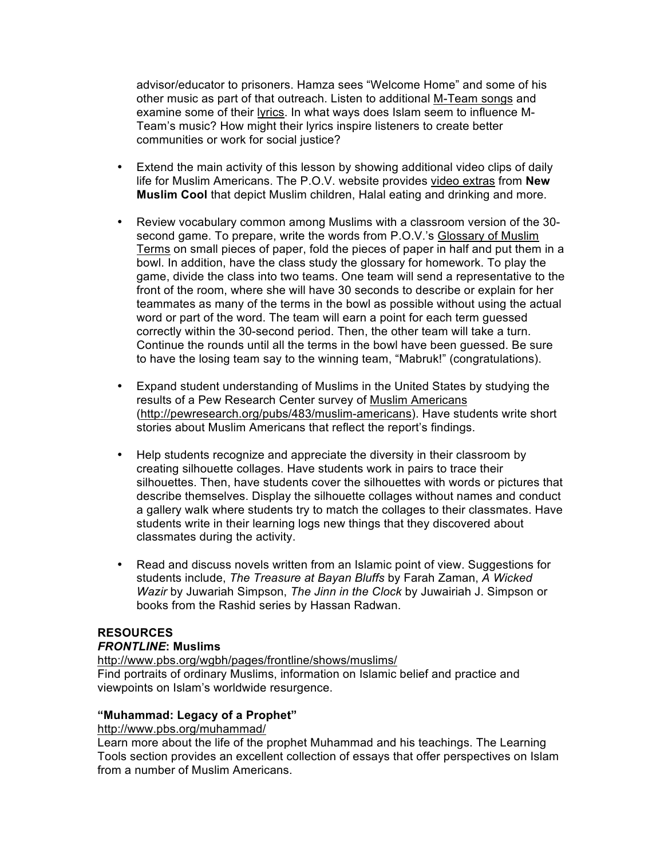advisor/educator to prisoners. Hamza sees "Welcome Home" and some of his other music as part of that outreach. Listen to additional M-Team songs and examine some of their lyrics. In what ways does Islam seem to influence M-Team's music? How might their lyrics inspire listeners to create better communities or work for social justice?

- Extend the main activity of this lesson by showing additional video clips of daily life for Muslim Americans. The P.O.V. website provides video extras from **New Muslim Cool** that depict Muslim children, Halal eating and drinking and more.
- Review vocabulary common among Muslims with a classroom version of the 30 second game. To prepare, write the words from P.O.V.'s Glossary of Muslim Terms on small pieces of paper, fold the pieces of paper in half and put them in a bowl. In addition, have the class study the glossary for homework. To play the game, divide the class into two teams. One team will send a representative to the front of the room, where she will have 30 seconds to describe or explain for her teammates as many of the terms in the bowl as possible without using the actual word or part of the word. The team will earn a point for each term guessed correctly within the 30-second period. Then, the other team will take a turn. Continue the rounds until all the terms in the bowl have been guessed. Be sure to have the losing team say to the winning team, "Mabruk!" (congratulations).
- Expand student understanding of Muslims in the United States by studying the results of a Pew Research Center survey of Muslim Americans (http://pewresearch.org/pubs/483/muslim-americans). Have students write short stories about Muslim Americans that reflect the report's findings.
- Help students recognize and appreciate the diversity in their classroom by creating silhouette collages. Have students work in pairs to trace their silhouettes. Then, have students cover the silhouettes with words or pictures that describe themselves. Display the silhouette collages without names and conduct a gallery walk where students try to match the collages to their classmates. Have students write in their learning logs new things that they discovered about classmates during the activity.
- Read and discuss novels written from an Islamic point of view. Suggestions for students include, *The Treasure at Bayan Bluffs* by Farah Zaman, *A Wicked Wazir* by Juwariah Simpson, *The Jinn in the Clock* by Juwairiah J. Simpson or books from the Rashid series by Hassan Radwan.

### **RESOURCES**

# *FRONTLINE***: Muslims**

http://www.pbs.org/wgbh/pages/frontline/shows/muslims/ Find portraits of ordinary Muslims, information on Islamic belief and practice and viewpoints on Islam's worldwide resurgence.

# **"Muhammad: Legacy of a Prophet"**

### http://www.pbs.org/muhammad/

Learn more about the life of the prophet Muhammad and his teachings. The Learning Tools section provides an excellent collection of essays that offer perspectives on Islam from a number of Muslim Americans.